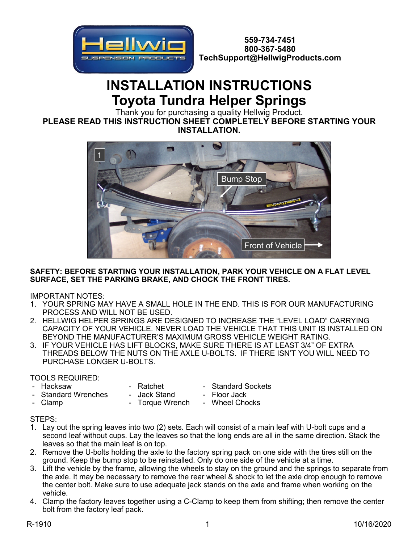

**559-734-7451 800-367-5480 TechSupport@HellwigProducts.com**

# **INSTALLATION INSTRUCTIONS Toyota Tundra Helper Springs**

**1 PLEASE READ THIS INSTRUCTION SHEET COMPLETELY BEFORE STARTING YOUR**  Thank you for purchasing a quality Hellwig Product. **INSTALLATION.**



## **SAFETY: BEFORE STARTING YOUR INSTALLATION, PARK YOUR VEHICLE ON A FLAT LEVEL SURFACE, SET THE PARKING BRAKE, AND CHOCK THE FRONT TIRES.**

IMPORTANT NOTES:

- 1. YOUR SPRING MAY HAVE A SMALL HOLE IN THE END. THIS IS FOR OUR MANUFACTURING PROCESS AND WILL NOT BE USED.
- 2. HELLWIG HELPER SPRINGS ARE DESIGNED TO INCREASE THE "LEVEL LOAD" CARRYING CAPACITY OF YOUR VEHICLE. NEVER LOAD THE VEHICLE THAT THIS UNIT IS INSTALLED ON BEYOND THE MANUFACTURER'S MAXIMUM GROSS VEHICLE WEIGHT RATING.
- 3. IF YOUR VEHICLE HAS LIFT BLOCKS, MAKE SURE THERE IS AT LEAST 3/4" OF EXTRA THREADS BELOW THE NUTS ON THE AXLE U-BOLTS. IF THERE ISN'T YOU WILL NEED TO PURCHASE LONGER U-BOLTS.

## TOOLS REQUIRED:

- 
- Hacksaw Ratchet Standard Sockets<br>- Standard Wrenches Jack Stand Floor Jack
	-
- 
- 
- Clamp Torque Wrench
- Standard Wrenches Jack Stand Floor Jack<br>Clamp Torque Wrench Wheel Chocks

# STEPS:

- 1. Lay out the spring leaves into two (2) sets. Each will consist of a main leaf with U-bolt cups and a second leaf without cups. Lay the leaves so that the long ends are all in the same direction. Stack the leaves so that the main leaf is on top.
- 2. Remove the U-bolts holding the axle to the factory spring pack on one side with the tires still on the ground. Keep the bump stop to be reinstalled. Only do one side of the vehicle at a time.
- 3. Lift the vehicle by the frame, allowing the wheels to stay on the ground and the springs to separate from the axle. It may be necessary to remove the rear wheel & shock to let the axle drop enough to remove the center bolt. Make sure to use adequate jack stands on the axle and frame when working on the vehicle.
- 4. Clamp the factory leaves together using a C-Clamp to keep them from shifting; then remove the center bolt from the factory leaf pack.